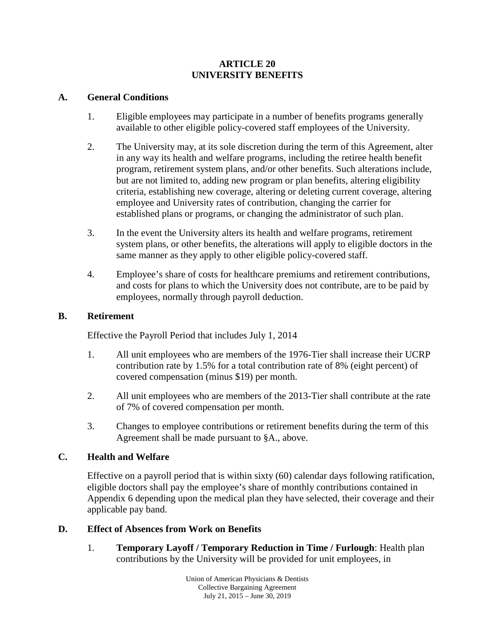### **ARTICLE 20 UNIVERSITY BENEFITS**

#### **A. General Conditions**

- 1. Eligible employees may participate in a number of benefits programs generally available to other eligible policy-covered staff employees of the University.
- 2. The University may, at its sole discretion during the term of this Agreement, alter in any way its health and welfare programs, including the retiree health benefit program, retirement system plans, and/or other benefits. Such alterations include, but are not limited to, adding new program or plan benefits, altering eligibility criteria, establishing new coverage, altering or deleting current coverage, altering employee and University rates of contribution, changing the carrier for established plans or programs, or changing the administrator of such plan.
- 3. In the event the University alters its health and welfare programs, retirement system plans, or other benefits, the alterations will apply to eligible doctors in the same manner as they apply to other eligible policy-covered staff.
- 4. Employee's share of costs for healthcare premiums and retirement contributions, and costs for plans to which the University does not contribute, are to be paid by employees, normally through payroll deduction.

#### **B. Retirement**

Effective the Payroll Period that includes July 1, 2014

- 1. All unit employees who are members of the 1976-Tier shall increase their UCRP contribution rate by 1.5% for a total contribution rate of 8% (eight percent) of covered compensation (minus \$19) per month.
- 2. All unit employees who are members of the 2013-Tier shall contribute at the rate of 7% of covered compensation per month.
- 3. Changes to employee contributions or retirement benefits during the term of this Agreement shall be made pursuant to §A., above.

# **C. Health and Welfare**

Effective on a payroll period that is within sixty (60) calendar days following ratification, eligible doctors shall pay the employee's share of monthly contributions contained in Appendix 6 depending upon the medical plan they have selected, their coverage and their applicable pay band.

# **D. Effect of Absences from Work on Benefits**

1. **Temporary Layoff / Temporary Reduction in Time / Furlough**: Health plan contributions by the University will be provided for unit employees, in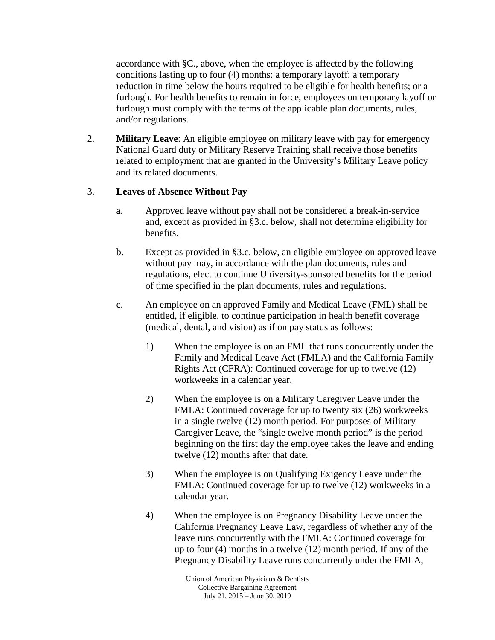accordance with §C., above, when the employee is affected by the following conditions lasting up to four (4) months: a temporary layoff; a temporary reduction in time below the hours required to be eligible for health benefits; or a furlough. For health benefits to remain in force, employees on temporary layoff or furlough must comply with the terms of the applicable plan documents, rules, and/or regulations.

2. **Military Leave**: An eligible employee on military leave with pay for emergency National Guard duty or Military Reserve Training shall receive those benefits related to employment that are granted in the University's Military Leave policy and its related documents.

# 3. **Leaves of Absence Without Pay**

- a. Approved leave without pay shall not be considered a break-in-service and, except as provided in §3.c. below, shall not determine eligibility for benefits.
- b. Except as provided in §3.c. below, an eligible employee on approved leave without pay may, in accordance with the plan documents, rules and regulations, elect to continue University-sponsored benefits for the period of time specified in the plan documents, rules and regulations.
- c. An employee on an approved Family and Medical Leave (FML) shall be entitled, if eligible, to continue participation in health benefit coverage (medical, dental, and vision) as if on pay status as follows:
	- 1) When the employee is on an FML that runs concurrently under the Family and Medical Leave Act (FMLA) and the California Family Rights Act (CFRA): Continued coverage for up to twelve (12) workweeks in a calendar year.
	- 2) When the employee is on a Military Caregiver Leave under the FMLA: Continued coverage for up to twenty six (26) workweeks in a single twelve (12) month period. For purposes of Military Caregiver Leave, the "single twelve month period" is the period beginning on the first day the employee takes the leave and ending twelve (12) months after that date.
	- 3) When the employee is on Qualifying Exigency Leave under the FMLA: Continued coverage for up to twelve (12) workweeks in a calendar year.
	- 4) When the employee is on Pregnancy Disability Leave under the California Pregnancy Leave Law, regardless of whether any of the leave runs concurrently with the FMLA: Continued coverage for up to four (4) months in a twelve (12) month period. If any of the Pregnancy Disability Leave runs concurrently under the FMLA,